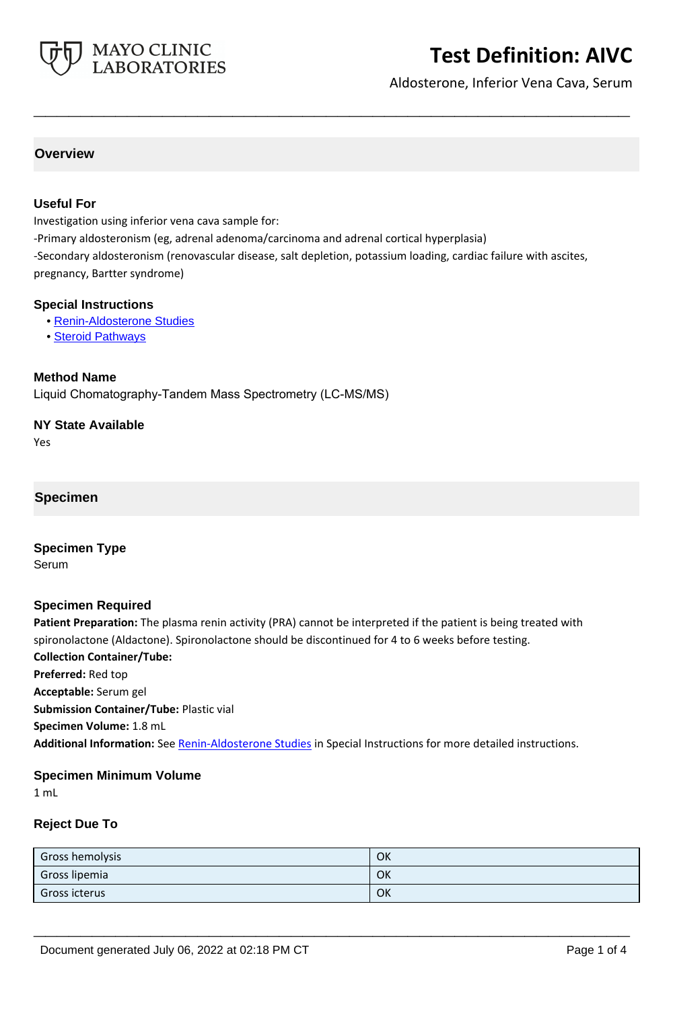

# **Test Definition: AIVC**

Aldosterone, Inferior Vena Cava, Serum

# **Overview**

#### **Useful For**

Investigation using inferior vena cava sample for:

-Primary aldosteronism (eg, adrenal adenoma/carcinoma and adrenal cortical hyperplasia) -Secondary aldosteronism (renovascular disease, salt depletion, potassium loading, cardiac failure with ascites, pregnancy, Bartter syndrome)

**\_\_\_\_\_\_\_\_\_\_\_\_\_\_\_\_\_\_\_\_\_\_\_\_\_\_\_\_\_\_\_\_\_\_\_\_\_\_\_\_\_\_\_\_\_\_\_\_\_\_\_**

#### **Special Instructions**

- • [Renin-Aldosterone Studies](http://www.mayocliniclabs.com/it-mmfiles/Renin-Aldosterone_Studies.pdf)
- • [Steroid Pathways](http://www.mayocliniclabs.com/it-mmfiles/Steroid_Pathways.pdf)

#### **Method Name**

Liquid Chomatography-Tandem Mass Spectrometry (LC-MS/MS)

#### **NY State Available**

Yes

**Specimen**

**Specimen Type**

Serum

#### **Specimen Required**

**Patient Preparation:** The plasma renin activity (PRA) cannot be interpreted if the patient is being treated with spironolactone (Aldactone). Spironolactone should be discontinued for 4 to 6 weeks before testing. **Collection Container/Tube: Preferred:** Red top **Acceptable:** Serum gel **Submission Container/Tube:** Plastic vial **Specimen Volume:** 1.8 mL **Additional Information:** See [Renin-Aldosterone Studies](http://www.mayocliniclabs.com/it-mmfiles/Renin-Aldosterone_Studies.pdf) in Special Instructions for more detailed instructions.

#### **Specimen Minimum Volume**

1 mL

## **Reject Due To**

| Gross hemolysis      | OK |
|----------------------|----|
| Gross lipemia        | OK |
| <b>Gross icterus</b> | OK |

**\_\_\_\_\_\_\_\_\_\_\_\_\_\_\_\_\_\_\_\_\_\_\_\_\_\_\_\_\_\_\_\_\_\_\_\_\_\_\_\_\_\_\_\_\_\_\_\_\_\_\_**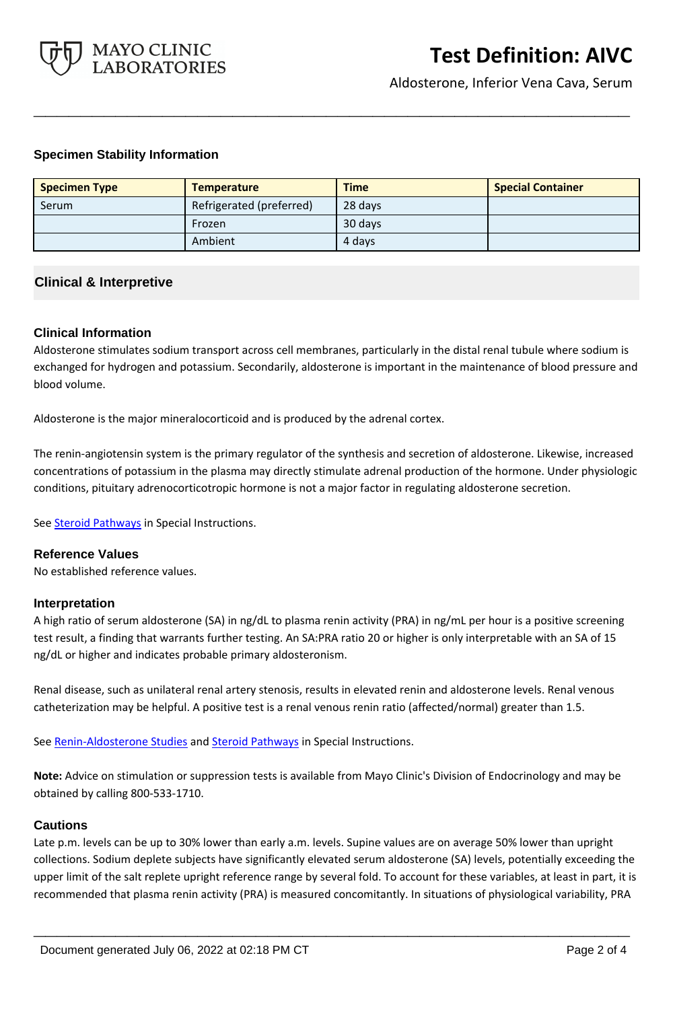

Aldosterone, Inferior Vena Cava, Serum

## **Specimen Stability Information**

| <b>Specimen Type</b> | <b>Temperature</b>       | <b>Time</b> | <b>Special Container</b> |
|----------------------|--------------------------|-------------|--------------------------|
| Serum                | Refrigerated (preferred) | 28 days     |                          |
|                      | Frozen                   | 30 days     |                          |
|                      | Ambient                  | 4 days      |                          |

**\_\_\_\_\_\_\_\_\_\_\_\_\_\_\_\_\_\_\_\_\_\_\_\_\_\_\_\_\_\_\_\_\_\_\_\_\_\_\_\_\_\_\_\_\_\_\_\_\_\_\_**

## **Clinical & Interpretive**

## **Clinical Information**

Aldosterone stimulates sodium transport across cell membranes, particularly in the distal renal tubule where sodium is exchanged for hydrogen and potassium. Secondarily, aldosterone is important in the maintenance of blood pressure and blood volume.

Aldosterone is the major mineralocorticoid and is produced by the adrenal cortex.

The renin-angiotensin system is the primary regulator of the synthesis and secretion of aldosterone. Likewise, increased concentrations of potassium in the plasma may directly stimulate adrenal production of the hormone. Under physiologic conditions, pituitary adrenocorticotropic hormone is not a major factor in regulating aldosterone secretion.

See **Steroid Pathways** in Special Instructions.

## **Reference Values**

No established reference values.

#### **Interpretation**

A high ratio of serum aldosterone (SA) in ng/dL to plasma renin activity (PRA) in ng/mL per hour is a positive screening test result, a finding that warrants further testing. An SA:PRA ratio 20 or higher is only interpretable with an SA of 15 ng/dL or higher and indicates probable primary aldosteronism.

Renal disease, such as unilateral renal artery stenosis, results in elevated renin and aldosterone levels. Renal venous catheterization may be helpful. A positive test is a renal venous renin ratio (affected/normal) greater than 1.5.

See [Renin-Aldosterone Studies](http://www.mayocliniclabs.com/it-mmfiles/Renin-Aldosterone_Studies.pdf) and [Steroid Pathways](http://www.mayocliniclabs.com/it-mmfiles/Steroid_Pathways.pdf) in Special Instructions.

**Note:** Advice on stimulation or suppression tests is available from Mayo Clinic's Division of Endocrinology and may be obtained by calling 800-533-1710.

#### **Cautions**

Late p.m. levels can be up to 30% lower than early a.m. levels. Supine values are on average 50% lower than upright collections. Sodium deplete subjects have significantly elevated serum aldosterone (SA) levels, potentially exceeding the upper limit of the salt replete upright reference range by several fold. To account for these variables, at least in part, it is recommended that plasma renin activity (PRA) is measured concomitantly. In situations of physiological variability, PRA

**\_\_\_\_\_\_\_\_\_\_\_\_\_\_\_\_\_\_\_\_\_\_\_\_\_\_\_\_\_\_\_\_\_\_\_\_\_\_\_\_\_\_\_\_\_\_\_\_\_\_\_**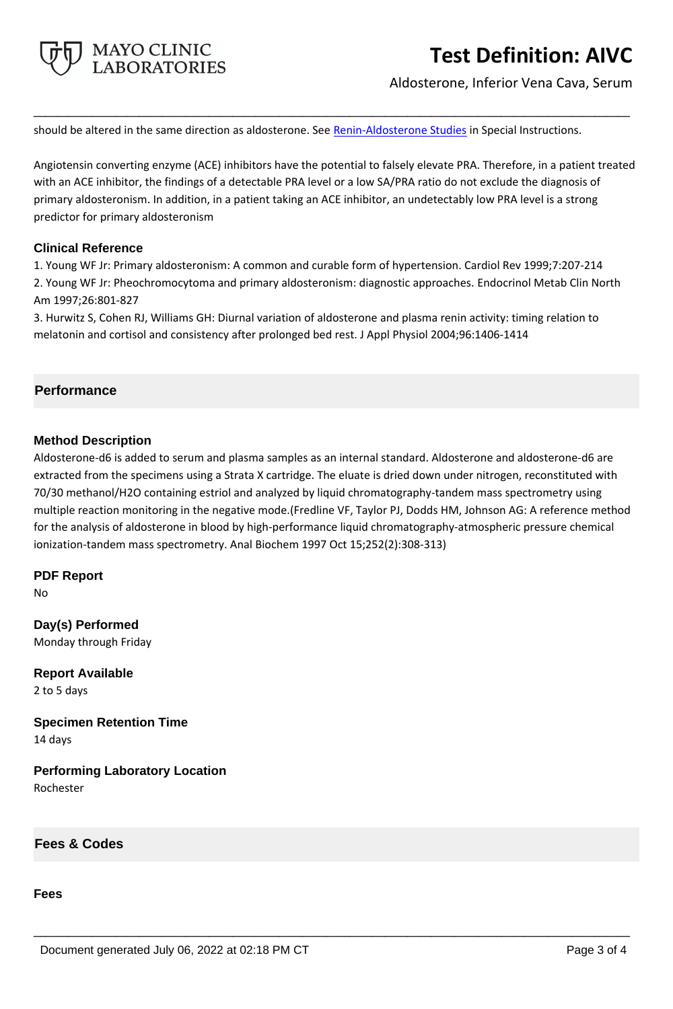

# **Test Definition: AIVC**

Aldosterone, Inferior Vena Cava, Serum

should be altered in the same direction as aldosterone. See [Renin-Aldosterone Studies](http://www.mayocliniclabs.com/it-mmfiles/Renin-Aldosterone_Studies.pdf) in Special Instructions.

Angiotensin converting enzyme (ACE) inhibitors have the potential to falsely elevate PRA. Therefore, in a patient treated with an ACE inhibitor, the findings of a detectable PRA level or a low SA/PRA ratio do not exclude the diagnosis of primary aldosteronism. In addition, in a patient taking an ACE inhibitor, an undetectably low PRA level is a strong predictor for primary aldosteronism

**\_\_\_\_\_\_\_\_\_\_\_\_\_\_\_\_\_\_\_\_\_\_\_\_\_\_\_\_\_\_\_\_\_\_\_\_\_\_\_\_\_\_\_\_\_\_\_\_\_\_\_**

## **Clinical Reference**

1. Young WF Jr: Primary aldosteronism: A common and curable form of hypertension. Cardiol Rev 1999;7:207-214 2. Young WF Jr: Pheochromocytoma and primary aldosteronism: diagnostic approaches. Endocrinol Metab Clin North Am 1997;26:801-827

3. Hurwitz S, Cohen RJ, Williams GH: Diurnal variation of aldosterone and plasma renin activity: timing relation to melatonin and cortisol and consistency after prolonged bed rest. J Appl Physiol 2004;96:1406-1414

# **Performance**

## **Method Description**

Aldosterone-d6 is added to serum and plasma samples as an internal standard. Aldosterone and aldosterone-d6 are extracted from the specimens using a Strata X cartridge. The eluate is dried down under nitrogen, reconstituted with 70/30 methanol/H2O containing estriol and analyzed by liquid chromatography-tandem mass spectrometry using multiple reaction monitoring in the negative mode.(Fredline VF, Taylor PJ, Dodds HM, Johnson AG: A reference method for the analysis of aldosterone in blood by high-performance liquid chromatography-atmospheric pressure chemical ionization-tandem mass spectrometry. Anal Biochem 1997 Oct 15;252(2):308-313)

**\_\_\_\_\_\_\_\_\_\_\_\_\_\_\_\_\_\_\_\_\_\_\_\_\_\_\_\_\_\_\_\_\_\_\_\_\_\_\_\_\_\_\_\_\_\_\_\_\_\_\_**

# **PDF Report**

No

**Day(s) Performed** Monday through Friday

**Report Available** 2 to 5 days

**Specimen Retention Time** 14 days

**Performing Laboratory Location** Rochester

**Fees & Codes**

#### **Fees**